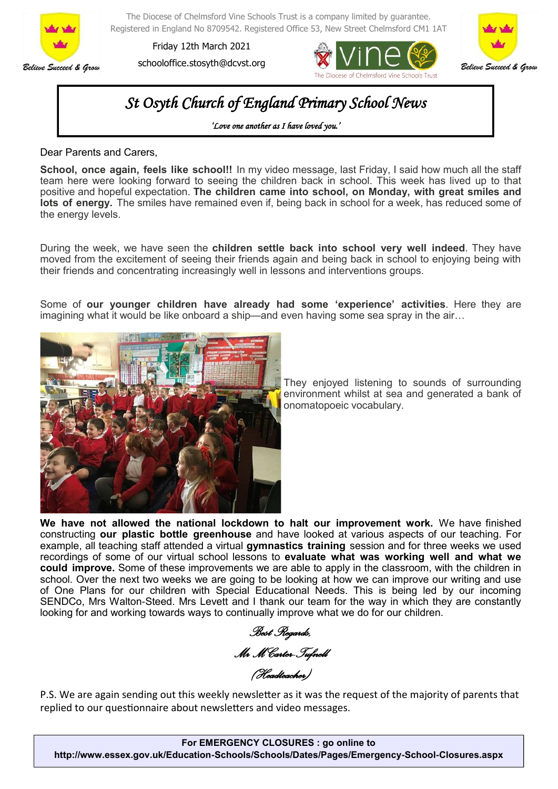

The Diocese of Chelmsford Vine Schools Trust is a company limited by guarantee. Registered in England No 8709542. Registered Office 53, New Street Chelmsford CM1 1AT

Friday 12th March 2021 schooloffice.stosyth@dcvst.org





## *St Osyth Church of England Primary School News*

*'Love one another as I have loved you.'* 

Dear Parents and Carers,

**School, once again, feels like school!!** In my video message, last Friday, I said how much all the staff team here were looking forward to seeing the children back in school. This week has lived up to that positive and hopeful expectation. **The children came into school, on Monday, with great smiles and lots of energy.** The smiles have remained even if, being back in school for a week, has reduced some of the energy levels.

During the week, we have seen the **children settle back into school very well indeed**. They have moved from the excitement of seeing their friends again and being back in school to enjoying being with their friends and concentrating increasingly well in lessons and interventions groups.

Some of **our younger children have already had some 'experience' activities**. Here they are imagining what it would be like onboard a ship—and even having some sea spray in the air…



They enjoyed listening to sounds of surrounding environment whilst at sea and generated a bank of onomatopoeic vocabulary.

**We have not allowed the national lockdown to halt our improvement work.** We have finished constructing **our plastic bottle greenhouse** and have looked at various aspects of our teaching. For example, all teaching staff attended a virtual **gymnastics training** session and for three weeks we used recordings of some of our virtual school lessons to **evaluate what was working well and what we could improve.** Some of these improvements we are able to apply in the classroom, with the children in school. Over the next two weeks we are going to be looking at how we can improve our writing and use of One Plans for our children with Special Educational Needs. This is being led by our incoming SENDCo, Mrs Walton-Steed. Mrs Levett and I thank our team for the way in which they are constantly looking for and working towards ways to continually improve what we do for our children.

*Best Regards, Mr M Carter-Tufnell* 

*(Headteacher)* 

P.S. We are again sending out this weekly newsletter as it was the request of the majority of parents that replied to our questionnaire about newsletters and video messages.